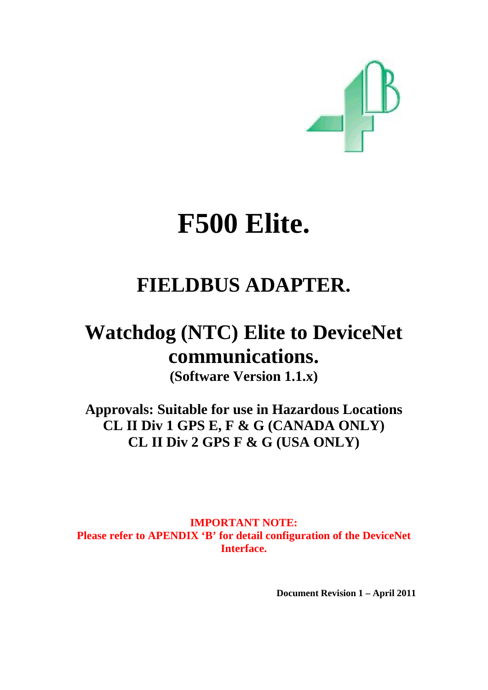

# **F500 Elite.**

# **FIELDBUS ADAPTER.**

# **Watchdog (NTC) Elite to DeviceNet communications.**

**(Software Version 1.1.x)** 

**Approvals: Suitable for use in Hazardous Locations CL II Div 1 GPS E, F & G (CANADA ONLY) CL II Div 2 GPS F & G (USA ONLY)** 

**IMPORTANT NOTE:**  Please refer to APENDIX 'B' for detail configuration of the DeviceNet **Interface.** 

 **Document Revision 1 – April 2011**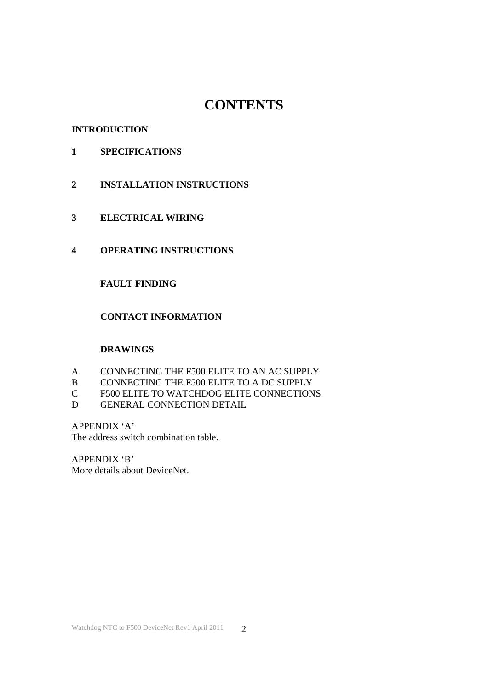# **CONTENTS**

#### **INTRODUCTION**

- **1 SPECIFICATIONS**
- **2 INSTALLATION INSTRUCTIONS**
- **3 ELECTRICAL WIRING**
- **4 OPERATING INSTRUCTIONS**

# **FAULT FINDING**

# **CONTACT INFORMATION**

## **DRAWINGS**

- A CONNECTING THE F500 ELITE TO AN AC SUPPLY
- B CONNECTING THE F500 ELITE TO A DC SUPPLY
- C F500 ELITE TO WATCHDOG ELITE CONNECTIONS
- D GENERAL CONNECTION DETAIL

#### APPENDIX 'A'

The address switch combination table.

APPENDIX 'B'

More details about DeviceNet.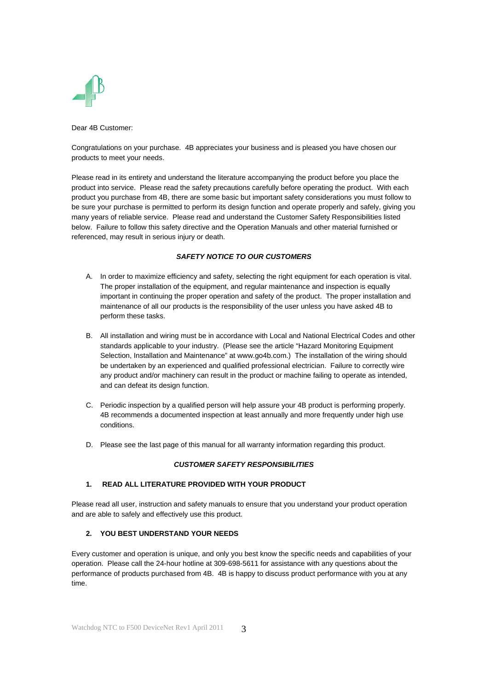

Dear 4B Customer:

Congratulations on your purchase. 4B appreciates your business and is pleased you have chosen our products to meet your needs.

Please read in its entirety and understand the literature accompanying the product before you place the product into service. Please read the safety precautions carefully before operating the product. With each product you purchase from 4B, there are some basic but important safety considerations you must follow to be sure your purchase is permitted to perform its design function and operate properly and safely, giving you many years of reliable service. Please read and understand the Customer Safety Responsibilities listed below. Failure to follow this safety directive and the Operation Manuals and other material furnished or referenced, may result in serious injury or death.

#### *SAFETY NOTICE TO OUR CUSTOMERS*

- A. In order to maximize efficiency and safety, selecting the right equipment for each operation is vital. The proper installation of the equipment, and regular maintenance and inspection is equally important in continuing the proper operation and safety of the product. The proper installation and maintenance of all our products is the responsibility of the user unless you have asked 4B to perform these tasks.
- B. All installation and wiring must be in accordance with Local and National Electrical Codes and other standards applicable to your industry. (Please see the article "Hazard Monitoring Equipment Selection, Installation and Maintenance" at www.go4b.com.) The installation of the wiring should be undertaken by an experienced and qualified professional electrician. Failure to correctly wire any product and/or machinery can result in the product or machine failing to operate as intended, and can defeat its design function.
- C. Periodic inspection by a qualified person will help assure your 4B product is performing properly. 4B recommends a documented inspection at least annually and more frequently under high use conditions.
- D. Please see the last page of this manual for all warranty information regarding this product.

#### *CUSTOMER SAFETY RESPONSIBILITIES*

#### **1. READ ALL LITERATURE PROVIDED WITH YOUR PRODUCT**

Please read all user, instruction and safety manuals to ensure that you understand your product operation and are able to safely and effectively use this product.

#### **2. YOU BEST UNDERSTAND YOUR NEEDS**

Every customer and operation is unique, and only you best know the specific needs and capabilities of your operation. Please call the 24-hour hotline at 309-698-5611 for assistance with any questions about the performance of products purchased from 4B. 4B is happy to discuss product performance with you at any time.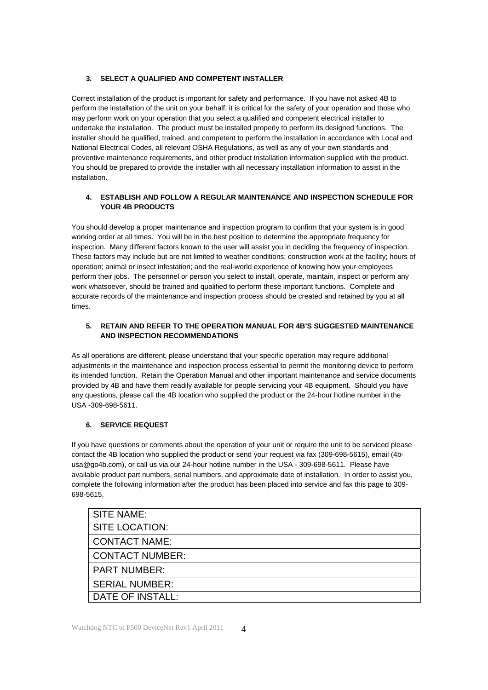#### **3. SELECT A QUALIFIED AND COMPETENT INSTALLER**

Correct installation of the product is important for safety and performance. If you have not asked 4B to perform the installation of the unit on your behalf, it is critical for the safety of your operation and those who may perform work on your operation that you select a qualified and competent electrical installer to undertake the installation. The product must be installed properly to perform its designed functions. The installer should be qualified, trained, and competent to perform the installation in accordance with Local and National Electrical Codes, all relevant OSHA Regulations, as well as any of your own standards and preventive maintenance requirements, and other product installation information supplied with the product. You should be prepared to provide the installer with all necessary installation information to assist in the installation.

#### **4. ESTABLISH AND FOLLOW A REGULAR MAINTENANCE AND INSPECTION SCHEDULE FOR YOUR 4B PRODUCTS**

You should develop a proper maintenance and inspection program to confirm that your system is in good working order at all times. You will be in the best position to determine the appropriate frequency for inspection. Many different factors known to the user will assist you in deciding the frequency of inspection. These factors may include but are not limited to weather conditions; construction work at the facility; hours of operation; animal or insect infestation; and the real-world experience of knowing how your employees perform their jobs. The personnel or person you select to install, operate, maintain, inspect or perform any work whatsoever, should be trained and qualified to perform these important functions. Complete and accurate records of the maintenance and inspection process should be created and retained by you at all times.

#### **5. RETAIN AND REFER TO THE OPERATION MANUAL FOR 4B'S SUGGESTED MAINTENANCE AND INSPECTION RECOMMENDATIONS**

As all operations are different, please understand that your specific operation may require additional adjustments in the maintenance and inspection process essential to permit the monitoring device to perform its intended function. Retain the Operation Manual and other important maintenance and service documents provided by 4B and have them readily available for people servicing your 4B equipment. Should you have any questions, please call the 4B location who supplied the product or the 24-hour hotline number in the USA -309-698-5611.

#### **6. SERVICE REQUEST**

If you have questions or comments about the operation of your unit or require the unit to be serviced please contact the 4B location who supplied the product or send your request via fax (309-698-5615), email (4busa@go4b.com), or call us via our 24-hour hotline number in the USA - 309-698-5611. Please have available product part numbers, serial numbers, and approximate date of installation. In order to assist you, complete the following information after the product has been placed into service and fax this page to 309- 698-5615.

| <b>SITE NAME:</b>      |
|------------------------|
| SITE LOCATION:         |
| <b>CONTACT NAME:</b>   |
| <b>CONTACT NUMBER:</b> |
| <b>PART NUMBER:</b>    |
| <b>SERIAL NUMBER:</b>  |
| DATE OF INSTALL:       |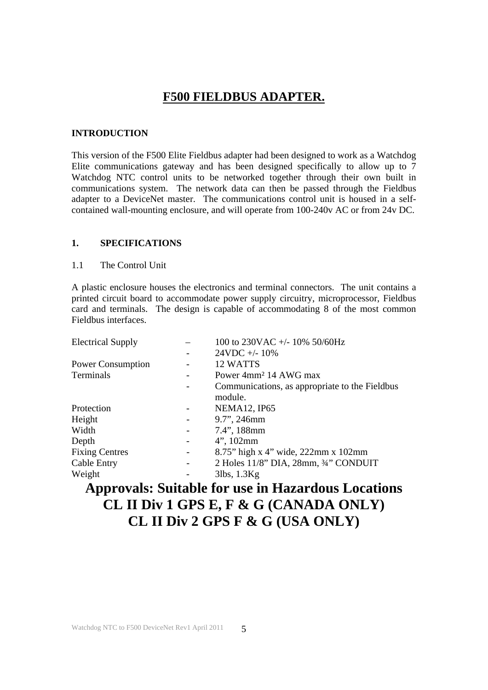# **F500 FIELDBUS ADAPTER.**

#### **INTRODUCTION**

This version of the F500 Elite Fieldbus adapter had been designed to work as a Watchdog Elite communications gateway and has been designed specifically to allow up to 7 Watchdog NTC control units to be networked together through their own built in communications system. The network data can then be passed through the Fieldbus adapter to a DeviceNet master. The communications control unit is housed in a selfcontained wall-mounting enclosure, and will operate from 100-240v AC or from 24v DC.

#### **1. SPECIFICATIONS**

#### 1.1 The Control Unit

A plastic enclosure houses the electronics and terminal connectors. The unit contains a printed circuit board to accommodate power supply circuitry, microprocessor, Fieldbus card and terminals. The design is capable of accommodating 8 of the most common Fieldbus interfaces.

| <b>Electrical Supply</b> |                              | 100 to 230VAC +/- 10% 50/60Hz                  |
|--------------------------|------------------------------|------------------------------------------------|
|                          |                              | $24VDC + -10\%$                                |
| <b>Power Consumption</b> |                              | 12 WATTS                                       |
| Terminals                |                              | Power 4mm <sup>2</sup> 14 AWG max              |
|                          |                              | Communications, as appropriate to the Fieldbus |
|                          |                              | module.                                        |
| Protection               |                              | <b>NEMA12, IP65</b>                            |
| Height                   |                              | 9.7", 246mm                                    |
| Width                    | $\qquad \qquad \blacksquare$ | 7.4", 188mm                                    |
| Depth                    | $\overline{\phantom{a}}$     | $4$ ", 102mm                                   |
| <b>Fixing Centres</b>    | $\overline{\phantom{a}}$     | 8.75" high x 4" wide, 222mm x 102mm            |
| Cable Entry              | $\qquad \qquad \blacksquare$ | 2 Holes 11/8" DIA, 28mm, 3/4" CONDUIT          |
| Weight                   |                              | $3$ lbs, $1.3$ Kg                              |

# **Approvals: Suitable for use in Hazardous Locations CL II Div 1 GPS E, F & G (CANADA ONLY) CL II Div 2 GPS F & G (USA ONLY)**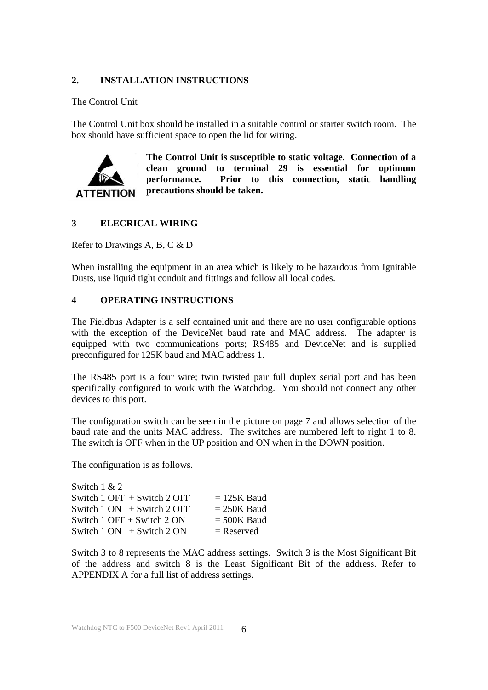### **2. INSTALLATION INSTRUCTIONS**

#### The Control Unit

The Control Unit box should be installed in a suitable control or starter switch room. The box should have sufficient space to open the lid for wiring.



**The Control Unit is susceptible to static voltage. Connection of a clean ground to terminal 29 is essential for optimum performance. Prior to this connection, static handling precautions should be taken.** 

# **3 ELECRICAL WIRING**

Refer to Drawings A, B, C & D

When installing the equipment in an area which is likely to be hazardous from Ignitable Dusts, use liquid tight conduit and fittings and follow all local codes.

#### **4 OPERATING INSTRUCTIONS**

The Fieldbus Adapter is a self contained unit and there are no user configurable options with the exception of the DeviceNet baud rate and MAC address. The adapter is equipped with two communications ports; RS485 and DeviceNet and is supplied preconfigured for 125K baud and MAC address 1.

The RS485 port is a four wire; twin twisted pair full duplex serial port and has been specifically configured to work with the Watchdog. You should not connect any other devices to this port.

The configuration switch can be seen in the picture on page 7 and allows selection of the baud rate and the units MAC address. The switches are numbered left to right 1 to 8. The switch is OFF when in the UP position and ON when in the DOWN position.

The configuration is as follows.

| Switch $1 & 2$                    |               |
|-----------------------------------|---------------|
| Switch $1$ OFF $+$ Switch $2$ OFF | $= 125K$ Baud |
| Switch $1 ON + Switch 2 OFF$      | $= 250K$ Baud |
| Switch $1$ OFF + Switch $2$ ON    | $= 500K$ Baud |
| Switch $1 ON + Switch 2 ON$       | $=$ Reserved  |

Switch 3 to 8 represents the MAC address settings. Switch 3 is the Most Significant Bit of the address and switch 8 is the Least Significant Bit of the address. Refer to APPENDIX A for a full list of address settings.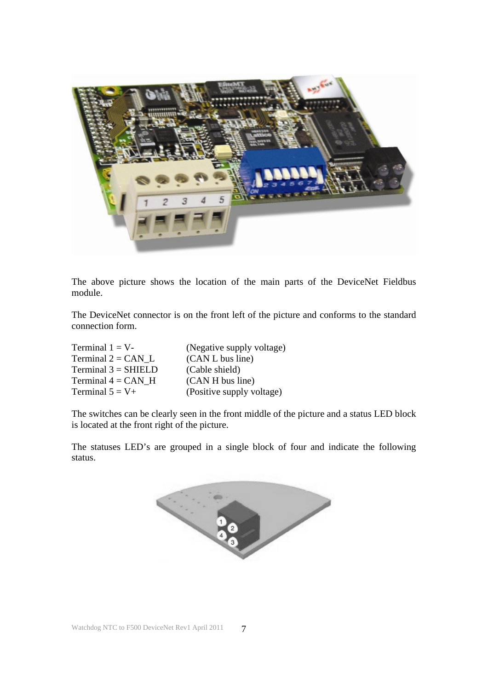

The above picture shows the location of the main parts of the DeviceNet Fieldbus module.

The DeviceNet connector is on the front left of the picture and conforms to the standard connection form.

| Terminal $1 = V$ -    | (Negative supply voltage) |
|-----------------------|---------------------------|
| Terminal $2 = CAN$ L  | (CAN L bus line)          |
| $Terminal 3 = SHIELD$ | (Cable shield)            |
| Terminal $4 = CAN$ H  | (CAN H bus line)          |
| Terminal $5 = V +$    | (Positive supply voltage) |

The switches can be clearly seen in the front middle of the picture and a status LED block is located at the front right of the picture.

The statuses LED's are grouped in a single block of four and indicate the following status.

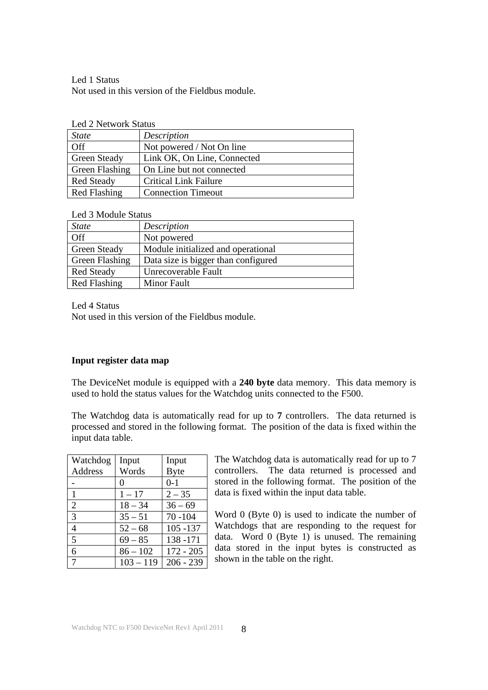Led 1 Status Not used in this version of the Fieldbus module.

| <b>Led 2 Network Status</b> |  |
|-----------------------------|--|
|-----------------------------|--|

| $E_{\rm cut} = 1$ we would be the two |                              |  |
|---------------------------------------|------------------------------|--|
| <b>State</b>                          | Description                  |  |
| Off                                   | Not powered / Not On line    |  |
| <b>Green Steady</b>                   | Link OK, On Line, Connected  |  |
| <b>Green Flashing</b>                 | On Line but not connected    |  |
| <b>Red Steady</b>                     | <b>Critical Link Failure</b> |  |
| Red Flashing                          | <b>Connection Timeout</b>    |  |

#### Led 3 Module Status

| <b>State</b>        | Description                         |  |
|---------------------|-------------------------------------|--|
| Off                 | Not powered                         |  |
| <b>Green Steady</b> | Module initialized and operational  |  |
| Green Flashing      | Data size is bigger than configured |  |
| <b>Red Steady</b>   | Unrecoverable Fault                 |  |
| <b>Red Flashing</b> | <b>Minor Fault</b>                  |  |

Led 4 Status

Not used in this version of the Fieldbus module.

#### **Input register data map**

The DeviceNet module is equipped with a **240 byte** data memory. This data memory is used to hold the status values for the Watchdog units connected to the F500.

The Watchdog data is automatically read for up to **7** controllers. The data returned is processed and stored in the following format. The position of the data is fixed within the input data table.

| Watchdog       | Input             | Input       |
|----------------|-------------------|-------------|
| Address        | Words             | <b>Byte</b> |
|                | $\mathbf{\Omega}$ | $0-1$       |
| 1              | $1 - 17$          | $2 - 35$    |
| $\overline{2}$ | $18 - 34$         | $36 - 69$   |
| 3              | $35 - 51$         | $70 - 104$  |
| $\overline{4}$ | $52 - 68$         | $105 - 137$ |
| 5              | $69 - 85$         | 138 - 171   |
| 6              | $86 - 102$        | $172 - 205$ |
| 7              | $103 - 119$       | $206 - 239$ |

The Watchdog data is automatically read for up to 7 controllers. The data returned is processed and stored in the following format. The position of the data is fixed within the input data table.

Word 0 (Byte 0) is used to indicate the number of Watchdogs that are responding to the request for data. Word 0 (Byte 1) is unused. The remaining data stored in the input bytes is constructed as shown in the table on the right.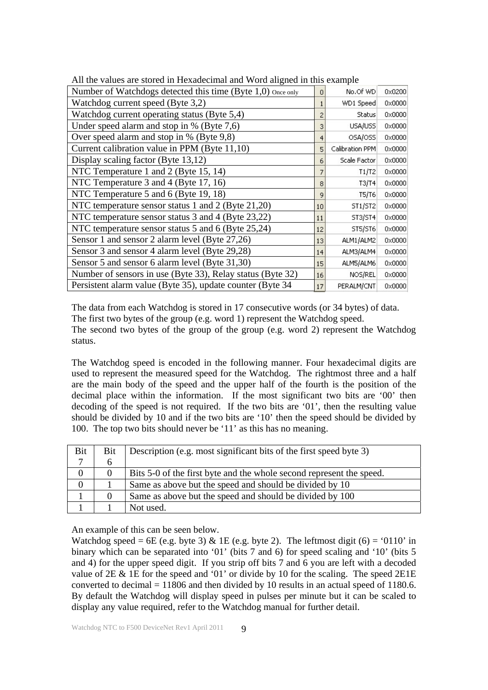| The the values are stored in Frexadeemial and word anglied in this example. |    |                 |                 |
|-----------------------------------------------------------------------------|----|-----------------|-----------------|
| Number of Watchdogs detected this time (Byte 1,0) Once only                 | 0  | No.Of WD        | 0x0200          |
| Watchdog current speed (Byte 3,2)                                           |    | WD1 Speed       | 0x0000          |
| Watchdog current operating status (Byte 5,4)                                | 2  | <b>Status</b>   | $0 \times 0000$ |
| Under speed alarm and stop in % (Byte 7,6)                                  | з  | USA/USS         | 0x0000          |
| Over speed alarm and stop in % (Byte 9,8)                                   | 4  | OSA/OSS         | $0 \times 0000$ |
| Current calibration value in PPM (Byte 11,10)                               | 5  | Calibration PPM | 0x0000          |
| Display scaling factor (Byte 13,12)                                         | 6  | Scale Factor    | $0 \times 0000$ |
| NTC Temperature 1 and 2 (Byte 15, 14)                                       |    | T1/T2           | 0x0000          |
| NTC Temperature 3 and 4 (Byte 17, 16)                                       | 8  | T3/T4           | $0 \times 0000$ |
| NTC Temperature 5 and 6 (Byte 19, 18)                                       | 9  | T5/T6           | $0 \times 0000$ |
| NTC temperature sensor status 1 and 2 (Byte 21,20)                          | 10 | ST1/ST2         | $0 \times 0000$ |
| NTC temperature sensor status 3 and 4 (Byte 23,22)                          | 11 | ST3/ST4         | $0 \times 0000$ |
| NTC temperature sensor status 5 and 6 (Byte 25,24)                          | 12 | ST5/ST6         | $0 \times 0000$ |
| Sensor 1 and sensor 2 alarm level (Byte 27,26)                              | 13 | ALM1/ALM2       | $0 \times 0000$ |
| Sensor 3 and sensor 4 alarm level (Byte 29,28)                              | 14 | ALM3/ALM4       | 0x0000          |
| Sensor 5 and sensor 6 alarm level (Byte 31,30)                              | 15 | ALM5/ALM6       | 0x0000          |
| Number of sensors in use (Byte 33), Relay status (Byte 32)                  | 16 | NOS/REL         | 0x0000          |
| Persistent alarm value (Byte 35), update counter (Byte 34)                  | 17 | PERALM/CNT      | 0x0000          |

All the values are stored in Hexadecimal and Word aligned in this example

The data from each Watchdog is stored in 17 consecutive words (or 34 bytes) of data. The first two bytes of the group (e.g. word 1) represent the Watchdog speed. The second two bytes of the group of the group (e.g. word 2) represent the Watchdog status.

The Watchdog speed is encoded in the following manner. Four hexadecimal digits are used to represent the measured speed for the Watchdog. The rightmost three and a half are the main body of the speed and the upper half of the fourth is the position of the decimal place within the information. If the most significant two bits are '00' then decoding of the speed is not required. If the two bits are '01', then the resulting value should be divided by 10 and if the two bits are '10' then the speed should be divided by 100. The top two bits should never be '11' as this has no meaning.

| Bit              | <b>Bit</b>   | Description (e.g. most significant bits of the first speed byte 3)   |
|------------------|--------------|----------------------------------------------------------------------|
|                  | <sub>6</sub> |                                                                      |
| $\boldsymbol{0}$ | $\Omega$     | Bits 5-0 of the first byte and the whole second represent the speed. |
| $\overline{0}$   |              | Same as above but the speed and should be divided by 10              |
|                  | $\Omega$     | Same as above but the speed and should be divided by 100             |
|                  |              | Not used.                                                            |

An example of this can be seen below.

Watchdog speed = 6E (e.g. byte 3) & 1E (e.g. byte 2). The leftmost digit (6) = '0110' in binary which can be separated into '01' (bits 7 and 6) for speed scaling and '10' (bits 5 and 4) for the upper speed digit. If you strip off bits 7 and 6 you are left with a decoded value of 2E & 1E for the speed and '01' or divide by 10 for the scaling. The speed 2E1E converted to decimal = 11806 and then divided by 10 results in an actual speed of 1180.6. By default the Watchdog will display speed in pulses per minute but it can be scaled to display any value required, refer to the Watchdog manual for further detail.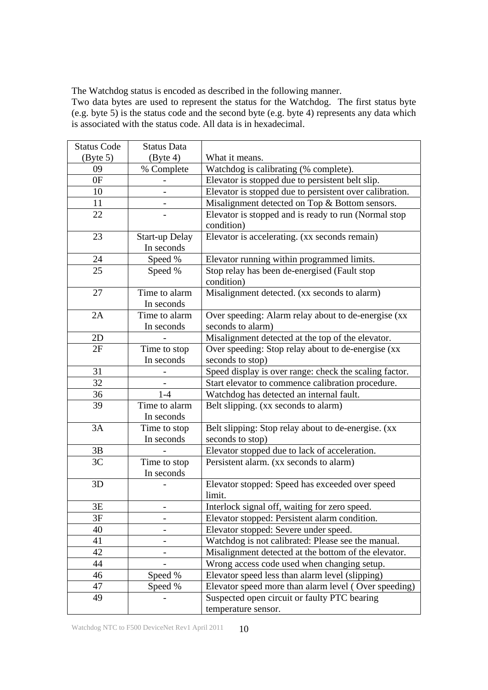The Watchdog status is encoded as described in the following manner.

Two data bytes are used to represent the status for the Watchdog. The first status byte (e.g. byte 5) is the status code and the second byte (e.g. byte 4) represents any data which is associated with the status code. All data is in hexadecimal.

| <b>Status Code</b>            | <b>Status Data</b>            |                                                         |  |
|-------------------------------|-------------------------------|---------------------------------------------------------|--|
| $\left(\text{Byte } 5\right)$ | $\left(\text{Byte } 4\right)$ | What it means.                                          |  |
| 09                            | % Complete                    | Watchdog is calibrating (% complete).                   |  |
| 0F                            |                               | Elevator is stopped due to persistent belt slip.        |  |
| 10                            |                               | Elevator is stopped due to persistent over calibration. |  |
| 11                            |                               | Misalignment detected on Top & Bottom sensors.          |  |
| 22                            |                               | Elevator is stopped and is ready to run (Normal stop    |  |
|                               |                               | condition)                                              |  |
| 23                            | <b>Start-up Delay</b>         | Elevator is accelerating. (xx seconds remain)           |  |
|                               | In seconds                    |                                                         |  |
| 24                            | Speed %                       | Elevator running within programmed limits.              |  |
| 25                            | Speed %                       | Stop relay has been de-energised (Fault stop            |  |
|                               |                               | condition)                                              |  |
| 27                            | Time to alarm                 | Misalignment detected. (xx seconds to alarm)            |  |
|                               | In seconds                    |                                                         |  |
| 2A                            | Time to alarm                 | Over speeding: Alarm relay about to de-energise (xx     |  |
|                               | In seconds                    | seconds to alarm)                                       |  |
| 2D                            |                               | Misalignment detected at the top of the elevator.       |  |
| 2F                            | Time to stop                  | Over speeding: Stop relay about to de-energise (xx      |  |
|                               | In seconds                    | seconds to stop)                                        |  |
| 31                            |                               | Speed display is over range: check the scaling factor.  |  |
| 32                            |                               | Start elevator to commence calibration procedure.       |  |
| 36                            | $1-4$                         | Watchdog has detected an internal fault.                |  |
| 39                            | Time to alarm                 | Belt slipping. (xx seconds to alarm)                    |  |
|                               | In seconds                    |                                                         |  |
| 3A                            | Time to stop                  | Belt slipping: Stop relay about to de-energise. (xx     |  |
|                               | In seconds                    | seconds to stop)                                        |  |
| 3B                            |                               | Elevator stopped due to lack of acceleration.           |  |
| 3C                            | Time to stop                  | Persistent alarm. (xx seconds to alarm)                 |  |
|                               | In seconds                    |                                                         |  |
| 3D                            |                               | Elevator stopped: Speed has exceeded over speed         |  |
|                               |                               | limit.                                                  |  |
| 3E                            |                               | Interlock signal off, waiting for zero speed.           |  |
| 3F                            |                               | Elevator stopped: Persistent alarm condition.           |  |
| 40                            |                               | Elevator stopped: Severe under speed.                   |  |
| 41                            |                               | Watchdog is not calibrated: Please see the manual.      |  |
| 42                            |                               | Misalignment detected at the bottom of the elevator.    |  |
| 44                            |                               | Wrong access code used when changing setup.             |  |
| 46                            | Speed %                       | Elevator speed less than alarm level (slipping)         |  |
| 47                            | Speed %                       | Elevator speed more than alarm level (Over speeding)    |  |
| 49                            |                               | Suspected open circuit or faulty PTC bearing            |  |
|                               |                               | temperature sensor.                                     |  |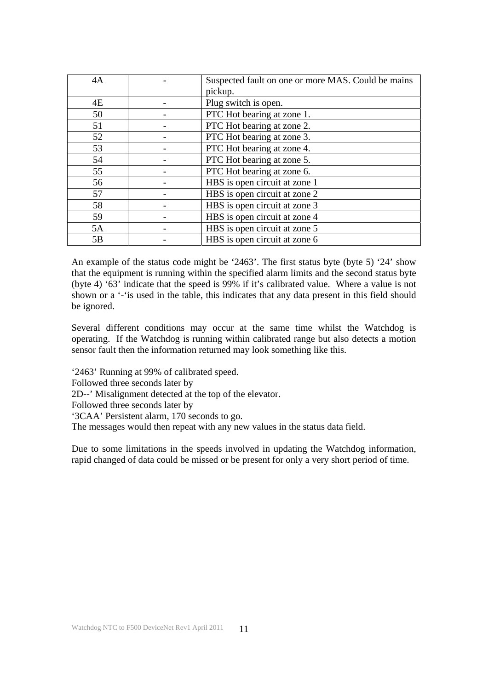| 4A | Suspected fault on one or more MAS. Could be mains |
|----|----------------------------------------------------|
|    | pickup.                                            |
| 4E | Plug switch is open.                               |
| 50 | PTC Hot bearing at zone 1.                         |
| 51 | PTC Hot bearing at zone 2.                         |
| 52 | PTC Hot bearing at zone 3.                         |
| 53 | PTC Hot bearing at zone 4.                         |
| 54 | PTC Hot bearing at zone 5.                         |
| 55 | PTC Hot bearing at zone 6.                         |
| 56 | HBS is open circuit at zone 1                      |
| 57 | HBS is open circuit at zone 2                      |
| 58 | HBS is open circuit at zone 3                      |
| 59 | HBS is open circuit at zone 4                      |
| 5A | HBS is open circuit at zone 5                      |
| 5B | HBS is open circuit at zone 6                      |

An example of the status code might be '2463'. The first status byte (byte 5) '24' show that the equipment is running within the specified alarm limits and the second status byte (byte 4) '63' indicate that the speed is 99% if it's calibrated value. Where a value is not shown or a '-'is used in the table, this indicates that any data present in this field should be ignored.

Several different conditions may occur at the same time whilst the Watchdog is operating. If the Watchdog is running within calibrated range but also detects a motion sensor fault then the information returned may look something like this.

'2463' Running at 99% of calibrated speed.

Followed three seconds later by

2D--' Misalignment detected at the top of the elevator.

Followed three seconds later by

'3CAA' Persistent alarm, 170 seconds to go.

The messages would then repeat with any new values in the status data field.

Due to some limitations in the speeds involved in updating the Watchdog information, rapid changed of data could be missed or be present for only a very short period of time.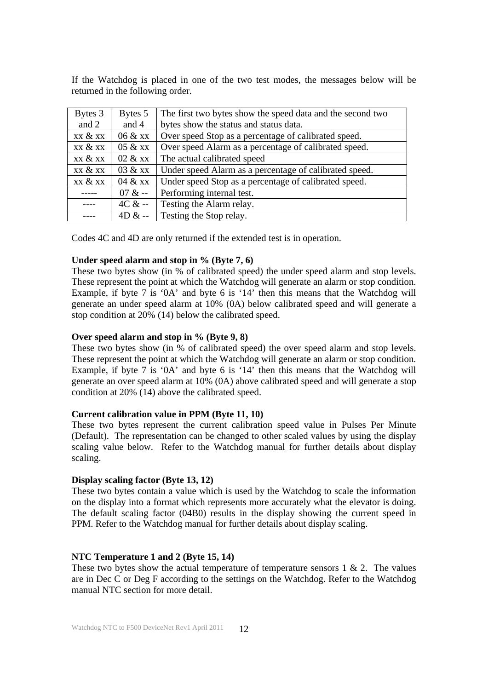If the Watchdog is placed in one of the two test modes, the messages below will be returned in the following order.

| Bytes 3                               | Bytes 5                              | The first two bytes show the speed data and the second two |  |  |  |
|---------------------------------------|--------------------------------------|------------------------------------------------------------|--|--|--|
| and 2                                 | and 4                                | bytes show the status and status data.                     |  |  |  |
| xx & xx                               | 06 & xx                              | Over speed Stop as a percentage of calibrated speed.       |  |  |  |
| xx & xx                               | $05 \& x \times$                     | Over speed Alarm as a percentage of calibrated speed.      |  |  |  |
| xx & xx                               | 02 & xx                              | The actual calibrated speed                                |  |  |  |
| xx & xx                               | 03 & xx                              | Under speed Alarm as a percentage of calibrated speed.     |  |  |  |
| xx & xx                               | 04 & xx                              | Under speed Stop as a percentage of calibrated speed.      |  |  |  |
| Performing internal test.<br>$07 & -$ |                                      |                                                            |  |  |  |
|                                       | Testing the Alarm relay.<br>$4C & -$ |                                                            |  |  |  |
|                                       | Testing the Stop relay.<br>$4D & -$  |                                                            |  |  |  |

Codes 4C and 4D are only returned if the extended test is in operation.

#### **Under speed alarm and stop in % (Byte 7, 6)**

These two bytes show (in % of calibrated speed) the under speed alarm and stop levels. These represent the point at which the Watchdog will generate an alarm or stop condition. Example, if byte 7 is '0A' and byte 6 is '14' then this means that the Watchdog will generate an under speed alarm at 10% (0A) below calibrated speed and will generate a stop condition at 20% (14) below the calibrated speed.

#### **Over speed alarm and stop in % (Byte 9, 8)**

These two bytes show (in % of calibrated speed) the over speed alarm and stop levels. These represent the point at which the Watchdog will generate an alarm or stop condition. Example, if byte 7 is '0A' and byte 6 is '14' then this means that the Watchdog will generate an over speed alarm at 10% (0A) above calibrated speed and will generate a stop condition at 20% (14) above the calibrated speed.

#### **Current calibration value in PPM (Byte 11, 10)**

These two bytes represent the current calibration speed value in Pulses Per Minute (Default). The representation can be changed to other scaled values by using the display scaling value below. Refer to the Watchdog manual for further details about display scaling.

#### **Display scaling factor (Byte 13, 12)**

These two bytes contain a value which is used by the Watchdog to scale the information on the display into a format which represents more accurately what the elevator is doing. The default scaling factor (04B0) results in the display showing the current speed in PPM. Refer to the Watchdog manual for further details about display scaling.

#### **NTC Temperature 1 and 2 (Byte 15, 14)**

These two bytes show the actual temperature of temperature sensors  $1 \& 2$ . The values are in Dec C or Deg F according to the settings on the Watchdog. Refer to the Watchdog manual NTC section for more detail.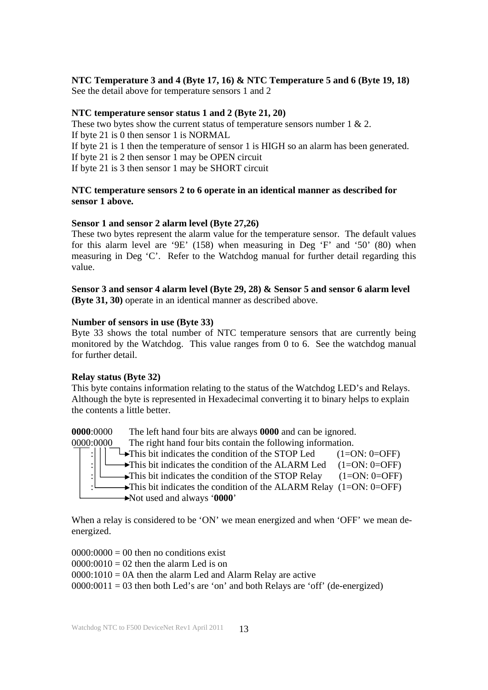#### **NTC Temperature 3 and 4 (Byte 17, 16) & NTC Temperature 5 and 6 (Byte 19, 18)**  See the detail above for temperature sensors 1 and 2

#### **NTC temperature sensor status 1 and 2 (Byte 21, 20)**

These two bytes show the current status of temperature sensors number  $1 \& 2$ .

If byte 21 is 0 then sensor 1 is NORMAL

If byte 21 is 1 then the temperature of sensor 1 is HIGH so an alarm has been generated.

If byte 21 is 2 then sensor 1 may be OPEN circuit

If byte 21 is 3 then sensor 1 may be SHORT circuit

#### **NTC temperature sensors 2 to 6 operate in an identical manner as described for sensor 1 above.**

## **Sensor 1 and sensor 2 alarm level (Byte 27,26)**

These two bytes represent the alarm value for the temperature sensor. The default values for this alarm level are '9E' (158) when measuring in Deg 'F' and '50' (80) when measuring in Deg 'C'. Refer to the Watchdog manual for further detail regarding this value.

**Sensor 3 and sensor 4 alarm level (Byte 29, 28) & Sensor 5 and sensor 6 alarm level (Byte 31, 30)** operate in an identical manner as described above.

### **Number of sensors in use (Byte 33)**

Byte 33 shows the total number of NTC temperature sensors that are currently being monitored by the Watchdog. This value ranges from 0 to 6. See the watchdog manual for further detail.

## **Relay status (Byte 32)**

This byte contains information relating to the status of the Watchdog LED's and Relays. Although the byte is represented in Hexadecimal converting it to binary helps to explain the contents a little better.

**0000**:0000 The left hand four bits are always **0000** and can be ignored.

0000:0000 The right hand four bits contain the following information.  $\rightarrow$ This bit indicates the condition of the STOP Led (1=ON: 0=OFF) : $\left| \begin{array}{cc} \downarrow \end{array} \right|$   $\rightarrow$  This bit indicates the condition of the ALARM Led (1=ON: 0=OFF) :  $\Box$  This bit indicates the condition of the STOP Relay (1=ON: 0=OFF)  $\rightarrow$ This bit indicates the condition of the ALARM Relay (1=ON: 0=OFF)

Not used and always '**0000**'

When a relay is considered to be 'ON' we mean energized and when 'OFF' we mean deenergized.

 $0000 \cdot 0000 = 00$  then no conditions exist  $0000:0010 = 02$  then the alarm Led is on  $0000:1010 = 0A$  then the alarm Led and Alarm Relay are active  $0000:0011 = 03$  then both Led's are 'on' and both Relays are 'off' (de-energized)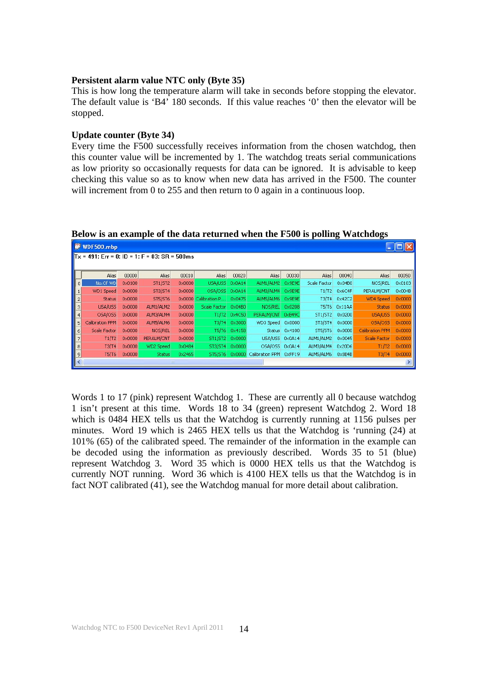#### **Persistent alarm value NTC only (Byte 35)**

This is how long the temperature alarm will take in seconds before stopping the elevator. The default value is 'B4' 180 seconds. If this value reaches '0' then the elevator will be stopped.

#### **Update counter (Byte 34)**

Every time the F500 successfully receives information from the chosen watchdog, then this counter value will be incremented by 1. The watchdog treats serial communications as low priority so occasionally requests for data can be ignored. It is advisable to keep checking this value so as to know when new data has arrived in the F500. The counter will increment from 0 to 255 and then return to 0 again in a continuous loop.

|                | WDF500.mbp                                       |                 |                |                 |                |                 |                               |               |              |                 |                     |                 |
|----------------|--------------------------------------------------|-----------------|----------------|-----------------|----------------|-----------------|-------------------------------|---------------|--------------|-----------------|---------------------|-----------------|
|                | $Tx = 491$ : Err = 0: ID = 1: F = 03: SR = 500ms |                 |                |                 |                |                 |                               |               |              |                 |                     |                 |
|                |                                                  |                 |                |                 |                |                 |                               |               |              |                 |                     |                 |
|                | Alias                                            | 00000           | Alias          | 00010           | Alias          | 00020           | Alias                         | 00030         | Alias        | 00040           | Alias               | 00050           |
| $\overline{0}$ | No.Of WD                                         | 0x0100          | <b>ST1/ST2</b> | 0x0000          | USA/USS        | 0x0A14          | ALM1/ALM2                     | 0x9E9E        | Scale Factor | 0x04B0          | NOS/REL             | 0x0103          |
| $\mathbf{1}$   | WD1 Speed                                        | 0x0000          | <b>ST3/ST4</b> | $0 \times 0000$ | OSA/OSS        | 0x0A14          | ALM3/ALM4 0x9E9E              |               | T1/T2        | 0x6C4F          | PERALM/CNT          | 0x004B          |
| $\overline{c}$ | <b>Status</b>                                    | $0 \times 0000$ | <b>ST5/ST6</b> | $0 \times 0000$ | Calibration P  | 0x0475          | ALM5/ALM6 0x9E9E              |               | T3/T4        | 0x42C2          | WD4 Speed           | $0 \times 0000$ |
| 3              | USA/USS                                          | $0 \times 0000$ | ALM1/ALM2      | $0 \times 0000$ | Scale Factor   | 0x04B0          | NO5/REL 0x0208                |               | T5/T6        | 0x11AA          | <b>Status</b>       | 0x0000          |
| $\overline{4}$ | OSA/OSS                                          | 0x0000          | ALM3/ALM4      | 0x0000          | T1/T2          | 0x4C50          | PERALM/CNT 0xB49C             |               | ST1/ST2      | 0x0200          | USA/USS             | 0x0000          |
| 5              | Calibration PPM                                  | $0 \times 0000$ | ALM5/ALM6      | $0 \times 0000$ | T3/T4          | 0x3000          | WD3 Speed 0x0000              |               | ST3/ST4      | $0 \times 0000$ | OSA/OSS             | 0x0000          |
| 6              | Scale Factor                                     | $0 \times 0000$ | <b>NOS/REL</b> | $0 \times 0000$ | T5/T6          | 0x4158          |                               | Status 0x4100 | ST5/ST6      | $0 \times 0000$ | Calibration PPM     | $0 \times 0000$ |
| 7              | T1/T2                                            | 0x0000          | PERALM/CNT     | $0 \times 0000$ | <b>ST1/ST2</b> | 0x0000          | USA/USS 0x0A14                |               | ALM1/ALM2    | 0x0045          | <b>Scale Factor</b> | 0x0000          |
| 8              | T3/T4                                            | 0x0000          | WD2 Speed      | 0x0484          | <b>ST3/ST4</b> | $0 \times 0000$ | OSA/OSS 0x0A14                |               | ALM3/ALM4    | $0 \times 20D6$ | T1/T2               | $0 \times 0000$ |
| 9              | <b>T5/T6</b>                                     | $0 \times 0000$ | <b>Status</b>  | 0x2465          | ST5/ST6        |                 | 0x0000 Calibration PPM 0xFF19 |               | ALM5/ALM6    | $0 \times 8B4B$ | T3/T4               | 0x0000          |
|                |                                                  |                 |                | <b>IIII</b>     |                |                 |                               |               |              |                 |                     |                 |

#### **Below is an example of the data returned when the F500 is polling Watchdogs**

Words 1 to 17 (pink) represent Watchdog 1. These are currently all 0 because watchdog 1 isn't present at this time. Words 18 to 34 (green) represent Watchdog 2. Word 18 which is 0484 HEX tells us that the Watchdog is currently running at 1156 pulses per minutes. Word 19 which is 2465 HEX tells us that the Watchdog is 'running (24) at 101% (65) of the calibrated speed. The remainder of the information in the example can be decoded using the information as previously described. Words 35 to 51 (blue) represent Watchdog 3. Word 35 which is 0000 HEX tells us that the Watchdog is currently NOT running. Word 36 which is 4100 HEX tells us that the Watchdog is in fact NOT calibrated (41), see the Watchdog manual for more detail about calibration.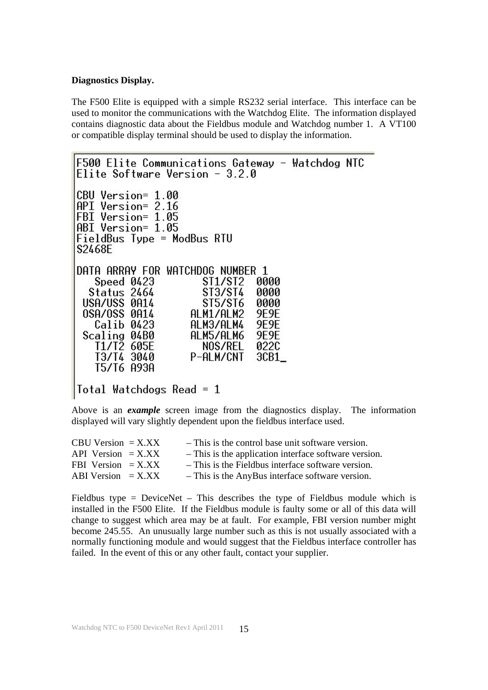#### **Diagnostics Display.**

The F500 Elite is equipped with a simple RS232 serial interface. This interface can be used to monitor the communications with the Watchdog Elite. The information displayed contains diagnostic data about the Fieldbus module and Watchdog number 1. A VT100 or compatible display terminal should be used to display the information.

```
F500 Elite Communications Gateway - Watchdog NTC
Elite Software Version -3.2.0CBU Version= 1.00
API Version= 2.16
FBI Version= 1.05
ABI Version= 1.05
FieldBus Type = ModBus RTU
S2468E
DATA ARRAY FOR WATCHDOG NUMBER 1
   Speed 0423
                      $11/$12
                               0000
  Status 2464
                      ST3/ST4
                               0000
 USA/USS 0A14
                      ST5/ST6
                               0000
 OSA/OSS 0A14
                    ALM1/ALM2
                               9E9E
   Calib 0423
                    ALM3/ALM4
                               9E9E
 Scaling 04B0
                    ALM5/ALM6
                               9E9E
                      NOS/REL
                               0220
   T1/T2 605E
   T3/T4 3040
                    P-ALM/CNT
                               3CB1_
   T5/T6 A93A
Total Watchdogs Read = 1
```
Above is an *example* screen image from the diagnostics display. The information displayed will vary slightly dependent upon the fieldbus interface used.

| $CBU$ Version $=$ X.XX | - This is the control base unit software version.     |
|------------------------|-------------------------------------------------------|
| API Version $=$ X.XX   | - This is the application interface software version. |
| FBI Version $=$ X.XX   | - This is the Fieldbus interface software version.    |
| ABI Version $=$ X.XX   | - This is the AnyBus interface software version.      |

Fieldbus type = DeviceNet – This describes the type of Fieldbus module which is installed in the F500 Elite. If the Fieldbus module is faulty some or all of this data will change to suggest which area may be at fault. For example, FBI version number might become 245.55. An unusually large number such as this is not usually associated with a normally functioning module and would suggest that the Fieldbus interface controller has failed. In the event of this or any other fault, contact your supplier.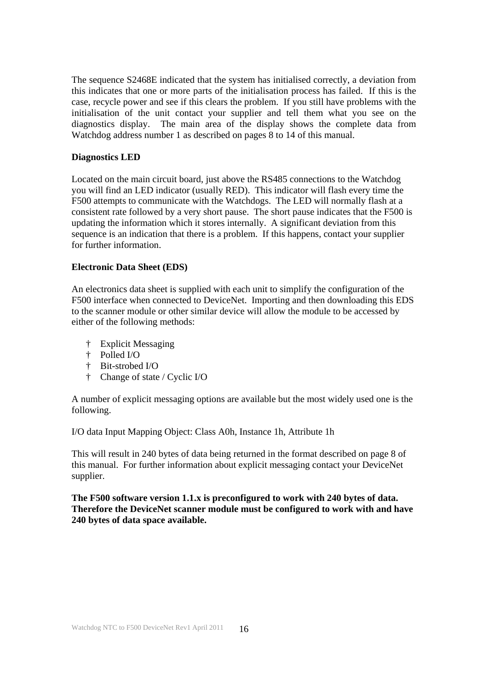The sequence S2468E indicated that the system has initialised correctly, a deviation from this indicates that one or more parts of the initialisation process has failed. If this is the case, recycle power and see if this clears the problem. If you still have problems with the initialisation of the unit contact your supplier and tell them what you see on the diagnostics display. The main area of the display shows the complete data from Watchdog address number 1 as described on pages 8 to 14 of this manual.

#### **Diagnostics LED**

Located on the main circuit board, just above the RS485 connections to the Watchdog you will find an LED indicator (usually RED). This indicator will flash every time the F500 attempts to communicate with the Watchdogs. The LED will normally flash at a consistent rate followed by a very short pause. The short pause indicates that the F500 is updating the information which it stores internally. A significant deviation from this sequence is an indication that there is a problem. If this happens, contact your supplier for further information.

#### **Electronic Data Sheet (EDS)**

An electronics data sheet is supplied with each unit to simplify the configuration of the F500 interface when connected to DeviceNet. Importing and then downloading this EDS to the scanner module or other similar device will allow the module to be accessed by either of the following methods:

- † Explicit Messaging
- † Polled I/O
- † Bit-strobed I/O
- † Change of state / Cyclic I/O

A number of explicit messaging options are available but the most widely used one is the following.

I/O data Input Mapping Object: Class A0h, Instance 1h, Attribute 1h

This will result in 240 bytes of data being returned in the format described on page 8 of this manual. For further information about explicit messaging contact your DeviceNet supplier.

**The F500 software version 1.1.x is preconfigured to work with 240 bytes of data. Therefore the DeviceNet scanner module must be configured to work with and have 240 bytes of data space available.**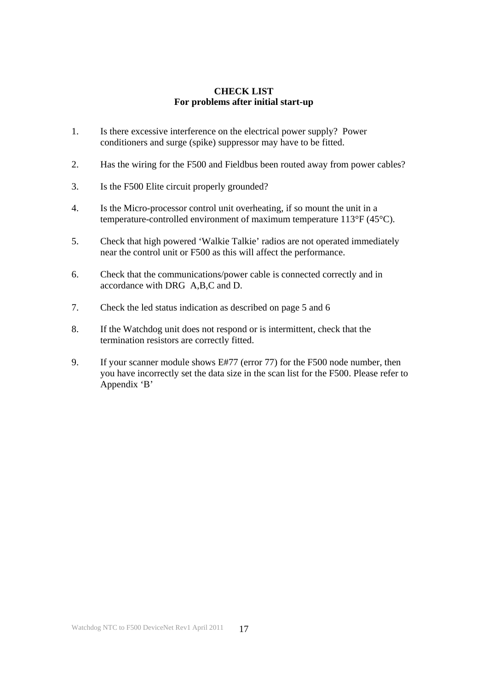#### **CHECK LIST For problems after initial start-up**

- 1. Is there excessive interference on the electrical power supply? Power conditioners and surge (spike) suppressor may have to be fitted.
- 2. Has the wiring for the F500 and Fieldbus been routed away from power cables?
- 3. Is the F500 Elite circuit properly grounded?
- 4. Is the Micro-processor control unit overheating, if so mount the unit in a temperature-controlled environment of maximum temperature 113°F (45°C).
- 5. Check that high powered 'Walkie Talkie' radios are not operated immediately near the control unit or F500 as this will affect the performance.
- 6. Check that the communications/power cable is connected correctly and in accordance with DRG A,B,C and D.
- 7. Check the led status indication as described on page 5 and 6
- 8. If the Watchdog unit does not respond or is intermittent, check that the termination resistors are correctly fitted.
- 9. If your scanner module shows E#77 (error 77) for the F500 node number, then you have incorrectly set the data size in the scan list for the F500. Please refer to Appendix 'B'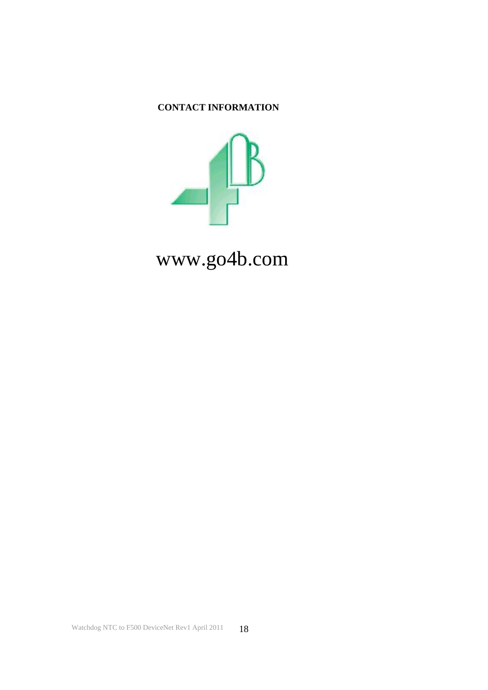# **CONTACT INFORMATION**



www.go4b.com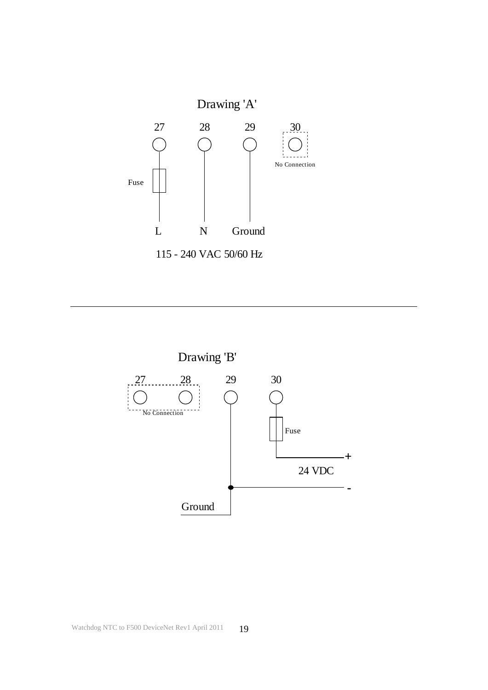

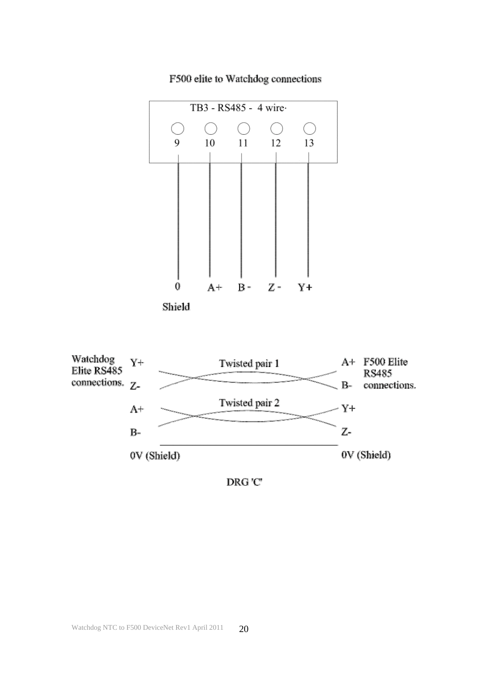

# F500 elite to Watchdog connections

0V (Shield)

DRG'C'

Z-

0V (Shield)

 $B-$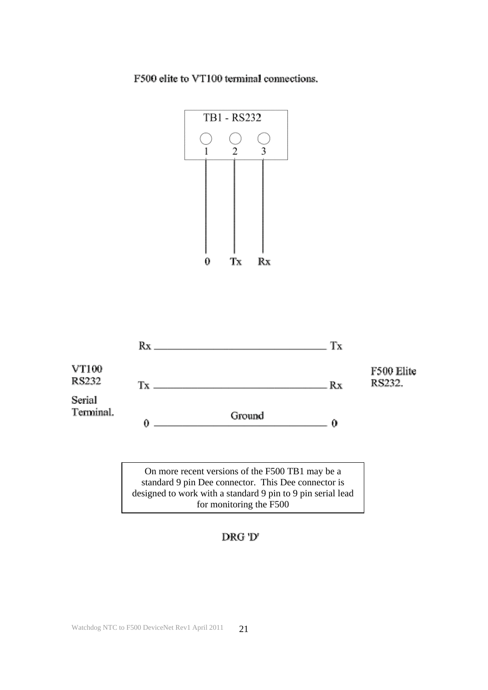F500 elite to VT100 terminal connections.





On more recent versions of the F500 TB1 may be a standard 9 pin Dee connector. This Dee connector is designed to work with a standard 9 pin to 9 pin serial lead for monitoring the F500

# DRG 'D'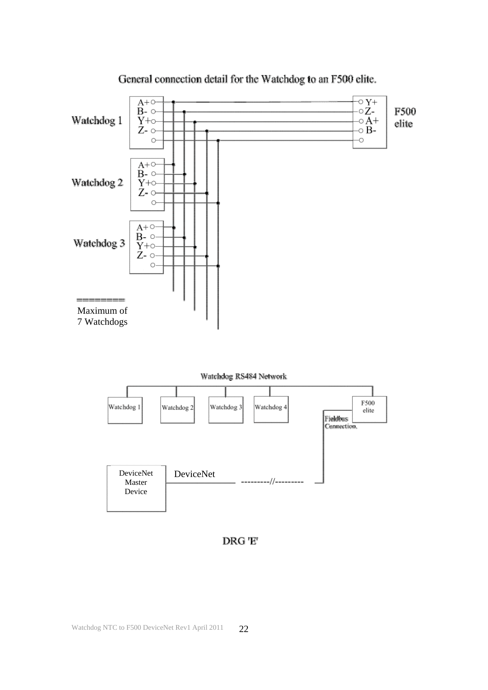

General connection detail for the Watchdog to an F500 elite.

DRG 'E'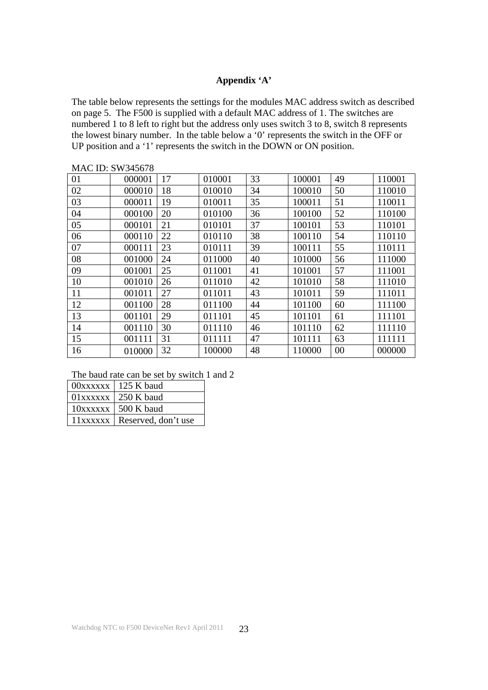# **Appendix 'A'**

The table below represents the settings for the modules MAC address switch as described on page 5. The F500 is supplied with a default MAC address of 1. The switches are numbered 1 to 8 left to right but the address only uses switch 3 to 8, switch 8 represents the lowest binary number. In the table below a '0' represents the switch in the OFF or UP position and a '1' represents the switch in the DOWN or ON position.

| MAC ID. 9 W 949070 |        |    |        |    |        |    |        |
|--------------------|--------|----|--------|----|--------|----|--------|
| 01                 | 000001 | 17 | 010001 | 33 | 100001 | 49 | 110001 |
| 02                 | 000010 | 18 | 010010 | 34 | 100010 | 50 | 110010 |
| 03                 | 000011 | 19 | 010011 | 35 | 100011 | 51 | 110011 |
| 04                 | 000100 | 20 | 010100 | 36 | 100100 | 52 | 110100 |
| 05                 | 000101 | 21 | 010101 | 37 | 100101 | 53 | 110101 |
| 06                 | 000110 | 22 | 010110 | 38 | 100110 | 54 | 110110 |
| 07                 | 000111 | 23 | 010111 | 39 | 100111 | 55 | 110111 |
| 08                 | 001000 | 24 | 011000 | 40 | 101000 | 56 | 111000 |
| 09                 | 001001 | 25 | 011001 | 41 | 101001 | 57 | 111001 |
| 10                 | 001010 | 26 | 011010 | 42 | 101010 | 58 | 111010 |
| 11                 | 001011 | 27 | 011011 | 43 | 101011 | 59 | 111011 |
| 12                 | 001100 | 28 | 011100 | 44 | 101100 | 60 | 111100 |
| 13                 | 001101 | 29 | 011101 | 45 | 101101 | 61 | 111101 |
| 14                 | 001110 | 30 | 011110 | 46 | 101110 | 62 | 111110 |
| 15                 | 001111 | 31 | 011111 | 47 | 101111 | 63 | 111111 |
| 16                 | 010000 | 32 | 100000 | 48 | 110000 | 00 | 000000 |

MAC ID: SW345678

The baud rate can be set by switch 1 and 2

| $00xxxxx$   125 K baud         |
|--------------------------------|
| $01xxxxx$   250 K baud         |
| $10xxxxx$   500 K baud         |
| 11xxxxxx   Reserved, don't use |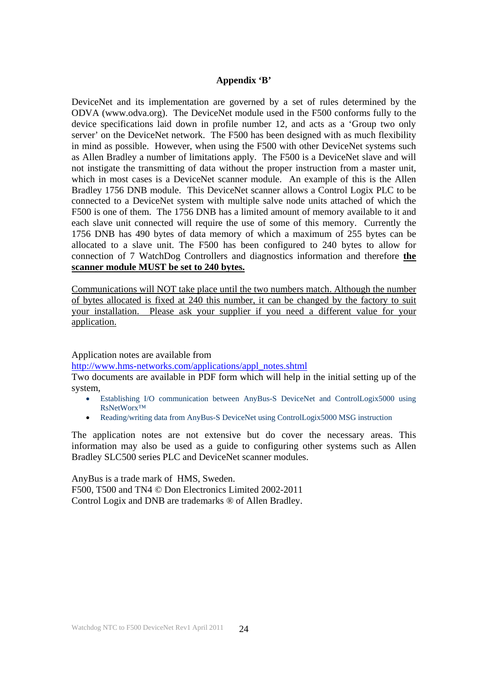#### **Appendix 'B'**

DeviceNet and its implementation are governed by a set of rules determined by the ODVA (www.odva.org). The DeviceNet module used in the F500 conforms fully to the device specifications laid down in profile number 12, and acts as a 'Group two only server' on the DeviceNet network. The F500 has been designed with as much flexibility in mind as possible. However, when using the F500 with other DeviceNet systems such as Allen Bradley a number of limitations apply. The F500 is a DeviceNet slave and will not instigate the transmitting of data without the proper instruction from a master unit, which in most cases is a DeviceNet scanner module. An example of this is the Allen Bradley 1756 DNB module. This DeviceNet scanner allows a Control Logix PLC to be connected to a DeviceNet system with multiple salve node units attached of which the F500 is one of them. The 1756 DNB has a limited amount of memory available to it and each slave unit connected will require the use of some of this memory. Currently the 1756 DNB has 490 bytes of data memory of which a maximum of 255 bytes can be allocated to a slave unit. The F500 has been configured to 240 bytes to allow for connection of 7 WatchDog Controllers and diagnostics information and therefore **the scanner module MUST be set to 240 bytes.**

Communications will NOT take place until the two numbers match. Although the number of bytes allocated is fixed at 240 this number, it can be changed by the factory to suit your installation. Please ask your supplier if you need a different value for your application.

Application notes are available from

http://www.hms-networks.com/applications/appl\_notes.shtml

Two documents are available in PDF form which will help in the initial setting up of the system,

- Establishing I/O communication between AnyBus-S DeviceNet and ControlLogix5000 using RsNetWorx™
- Reading/writing data from AnyBus-S DeviceNet using ControlLogix5000 MSG instruction

The application notes are not extensive but do cover the necessary areas. This information may also be used as a guide to configuring other systems such as Allen Bradley SLC500 series PLC and DeviceNet scanner modules.

AnyBus is a trade mark of HMS, Sweden. F500, T500 and TN4 © Don Electronics Limited 2002-2011 Control Logix and DNB are trademarks ® of Allen Bradley.